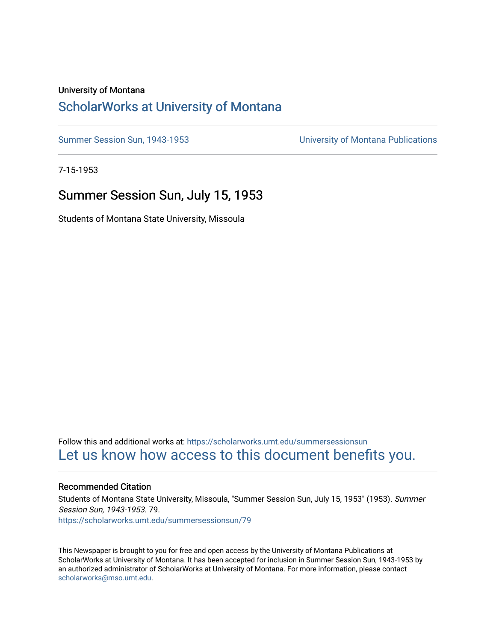### University of Montana

### [ScholarWorks at University of Montana](https://scholarworks.umt.edu/)

[Summer Session Sun, 1943-1953](https://scholarworks.umt.edu/summersessionsun) [University of Montana Publications](https://scholarworks.umt.edu/umpubs) 

7-15-1953

### Summer Session Sun, July 15, 1953

Students of Montana State University, Missoula

Follow this and additional works at: [https://scholarworks.umt.edu/summersessionsun](https://scholarworks.umt.edu/summersessionsun?utm_source=scholarworks.umt.edu%2Fsummersessionsun%2F79&utm_medium=PDF&utm_campaign=PDFCoverPages)  [Let us know how access to this document benefits you.](https://goo.gl/forms/s2rGfXOLzz71qgsB2) 

#### Recommended Citation

Students of Montana State University, Missoula, "Summer Session Sun, July 15, 1953" (1953). Summer Session Sun, 1943-1953. 79. [https://scholarworks.umt.edu/summersessionsun/79](https://scholarworks.umt.edu/summersessionsun/79?utm_source=scholarworks.umt.edu%2Fsummersessionsun%2F79&utm_medium=PDF&utm_campaign=PDFCoverPages)

This Newspaper is brought to you for free and open access by the University of Montana Publications at ScholarWorks at University of Montana. It has been accepted for inclusion in Summer Session Sun, 1943-1953 by an authorized administrator of ScholarWorks at University of Montana. For more information, please contact [scholarworks@mso.umt.edu.](mailto:scholarworks@mso.umt.edu)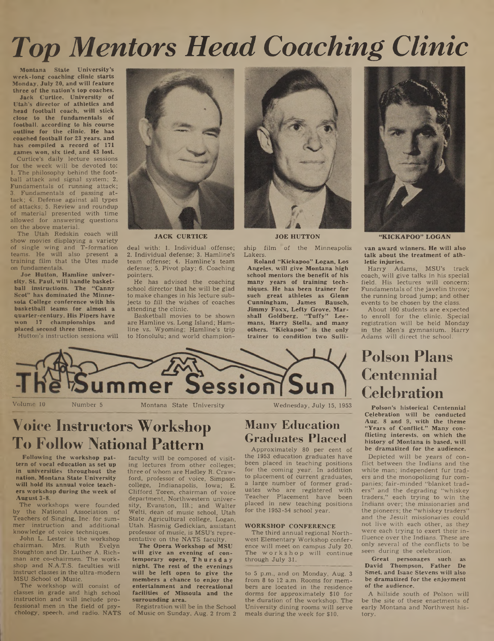# *Top Mentors Head Coaching Clinic*

Montana State University's week-long coaching clinic starts Monday, July 20, and will feature three of the nation's top coaches.

Jack Curtice, University of Utah's director of athletics and head football coach, will stick close to the fundamentals of football, according to his course outline for the clinic. He has coached football for 23 years, and has compiled a record of 171 games won, six tied, and 43 lost.

Curtice's daily lecture sessions for the week will be devoted to: 1. The philosophy behind the football attack and signal system; 2. Fundamentals of running attack; 3. Fundamentals of passing attack; 4. Defense against all types of attacks; 5. Review and roundup of material presented with time allowed for answering questions on the above material.

The Utah Redskin coach will show movies displaying a variety of single wing and T-formation teams. He will also present a training film that the Utes made on fundamentals.

Joe Hutton, Hamline university, St. Paul, will handle basketball instructions. The "Canny Scot" has dominated the Minnesota College conference with his basketball teams for almost a quarter-century. His Pipers have won 17 championships and placed second three times.

Hutton's instruction sessions will



JACK CURTICE

deal with: 1. Individual .offense; 2. Individual defense; 3. Hamline's team offense; 4. Hamline's team defense; 5. Pivot play; 6. Coaching pointers.

He has advised the coaching school director that he will be glad to make changes in his lecture subjects to fill the wishes of coaches attending the clinic.

Basketball movies to be shown are Hamline vs. Long Island; Hamline vs. Wyoming; Hamline's trip to Honolulu; and world champion-



JOE HUTTON

ship film of the Minneapolis Lakers.

Roland "Kickapoo" Logan, Los Angeles, will give Montana high school mentors the benefit of his many years of training techniques. He has been trainer for such great athletes as Glenn Cunningham, James Bausch, Jimmy Foxx, Lefty Grove, Marshall Goldberg, "Tuffy" Leemans, Harry Stella, and many others. "Kickapoo" is the only trainer to condition two Sulli-



"KICKAPOO" LOGAN

van award winners. He will also talk about the treatment of athletic injuries.

Harry Adams, MSU's track coach, will give talks in his special field. His lectures will concern: Fundamentals of the javelin throw; the running broad jump; and other events to be chosen by the class.

About 100 students are expected to enroll for the clinic. Special registration will be held Monday in the Men's gymnasium. Harry Adams will direct the school.

# **Poison Plans Centennial Celebration**

Poison's historical Centennial Celebration will be conducted Aug. 8 and 9, with the theme "Years of Conflict." Many conflicting interests, on which the history of Montana is based, will be dramatized for the audience.

Depicted will be years of conflict between the Indians and the white man; independent fur traders and the monopolizing fur companies; fair-minded "blanket traders" and the degrading "whiskey traders," each trying to win the Indians over; the missionaries and the pioneers; the "whiskey traders" and the Jesuit missionaries could not live with each other, as they were each trying to exert their influence over the Indians. These are only several of the conflicts to be seen during the celebration.

Great personages such as David Thompson, Father De Smet, and Isaac Stevens will also be dramatized for the enjoyment of the audience.

A hillside south of Poison will be the site of these enactments of early Montana and Northwest history.



**ier Session** 

# **Voice Instructors Workshop To Follow National Pattern**

Following the workshop pattern of vocal education as set up in universities throughout the nation, Montana State University will hold its annual voice teachers workshop during the week of August 3-8.

The workshops were founded by the National Association of Teachers of Singing, Inc. for summer instruction and additional knowledge of voice techniques.

John L. Lester is the workshop chairman. Mrs. Ruth Evelyn Stoughton and Dr. Luther A. Richman are co-chairmen. The workshop and N.A.T.S. faculties will instruct classes in the ultra-modern MSU School of Music.

The workshop will consist of classes in grade and high school instruction and will include professional men in the field of psychology, speech, and radio. NATS

faculty will be composed of visiting lectures from other colleges; three of whom are Hadley R. Crawford, professor of voice, Simpson college, Indianapolis, Iowa; E. Clifford Toren, chairman of voice department, Northwestern university, Evanston, 111.; and Walter Welti, dean of music school, Utah State Agricultural college, Logan, Utah. Hasmig Gedickian, assistant professor of music, is MSU's representative on the NATS faculty.

The Opera Workshop of MSU will give an evening of contemporary opera, Thursday night. The rest of the evenings will be left open to give the members a chance to enjoy the entertainment and recreational facilities of Missoula and the surrounding area.

Registration will be in the School of Music on Sunday, Aug. 2 from 2

# **Many Education**

**Graduates Placed** Approximately 80 per cent of

the 1953 education graduates have been placed in teaching positions for the coming year. In addition to placement of current graduates, a large number of former graduates who are registered with Teacher Placement have been placed in new teaching positions for the 1953-54 school year.

#### WORKSHOP CONFERENCE

The third annual regional Northwest Elementary Workshop conference will meet on campus July 20. The workshop will continue through July 31.

to 5 p.m., and on Monday, Aug. 3 from 8 to 12 a.m. Rooms for members are located in the residence dorms for approximately \$10 for the duration of the workshop. The University dining rooms will serve meals during the week for \$10.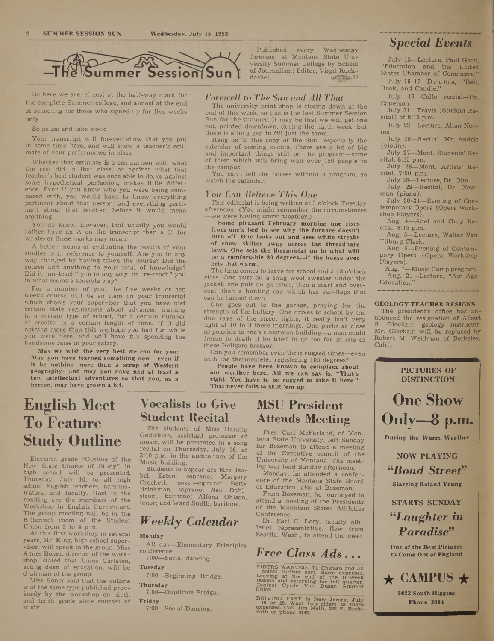

So here we are, almost at the half-way mark for the complete Summer college, and almost at the end of schooling for those who signed up for five weeks only.

So pause and take stock.

Your transcript will forever show that you put in some time here, and will show a teacher's estimate of your performance in class.

Whether that estimate is a comparison with what the rest did in that class, or against what that teacher's best student was once able to do, or against some hypothetical perfection, makes little difference. Even if you knew who you were being compared with, you would have to know everything pertinent about that person, and everything pertinent about that teacher, before it would mean anything.

You do know, however, that usually you would rather have an A on the transcript than a C, for whatever those marks may mean.

A better means of evaluating the results of your studies is in reference to yourself. Are you in any way changed by having taken the course? Did the course add anything to your total of knowledge? Did it "un-teach" you in any way, or "re-teach" you in what seems a sensible way?

For a number of you, the five weeks or ten weeks. course will be an item on your transcript which shows your supervisor that you have met certain state regulations about advanced training in a certain type of school, for a certain number of credits, in a certain length of time. If it did nothing more than this we^hope you had fun while you were here, and will have fun spending the handsome raise in your salary.

May we wish the very best we can for you: May you have learned something new—even if it be nothing more than a scrap of Western geography—and may you have had at least a few intellectual adventures so that you, as a person, may have grown a bit.

### *Faretvell to The Sun and All That*

end of this week, so this is the last Summer Session Sun for the summer. It may be that we will get one out, printed downtown, during the ninth week, but there is a long gap to fill just the same.

Hang on to this copy of the Sun—especially the calendar of coming events. There are a lot of big and important things still on the program—some of them which will bring well over 150 people to the campus.

You can't tell the horses without a program, so watch the calendar.

#### *You Can Believe This One*

This editorial is being written at 3 o'clock Tuesday afternoon. (You might remember the circumstances —we were having warm weather.)

Some pleasant February morning one rises from one's bed to see why the furnace doesn't turn off. One looks out and sees white streaks of snow skitter away across the threadbare lawn. One sets the thermostat up to what will be a comfortable 80 degrees—if the house ever gets that warm.

The time comes to leave for school and an 8 o'clock class. One puts on a snug wool sweater under the jacket; one puts on galoshes, then a scarf and overcoat ,then a hunting cap which has ear-flaps that can be turned down.

One goes out to the garage, praying for the strength of the battery. One drives to school by the dim rays of the street lights; it really isn't very light at 10 to 8 these mornings. One parks as close as possible to one's classroom building—a man could freeze to death if he tried to go too far in one of these Hellgate breezes.

Can you remember even these rugged times—even with the thermometer registering 105 degrees?

People have been known to complain about

our weather here. All we can say is, "That's right. You have to be rugged to take it here." That never fails to shut 'em up.

# **English Meet To Feature Study Outline**

Eleventh grade "Outline of the New State Course of Study" in high school will be presented, Thursday, July 16, to all high school English teachers, administrators, and faculty. Host to the meeting are the members of the Workshop in English Curriculum. The group meeting will be in the Bitterroot room of the Student Union from 3 to 4 p.m.

At this first workshop in several years, Mr. King, high school supervisor, will speak to the group. Miss Agnes Boner, director of the workshop, stated that Linus Carleton, acting dean of education, will be chairman of the group.

Miss Boner said that the outline is of the same type published previously by the workshop on ninth and tenth grade state courses of study.

### **Vocalists to Give Student Recital**

The students of Miss Hasmig Gedickian, assistant professor of music, will be presented in a song recital on Thurseday, July 16, at 3:10 p.m. in the auditorium of the Music building.

Students to appear are Mrs. Isobel Eaton, soprano; Margery<br>Crockett, mezzo-soprano; Betty Crockett, mezzo-soprano; Brinkman, soprano; Neil Dahlstrom, baritone; Alfons Ohlson, tenor; and Ward Smith, baritone.

### *Weekly Calendar*

**Monday** 

All day—Elementary Principles conference. 7:00—Social dancing.

Tuesday

7:00—Beginning Bridge.

**Thursday** 7:00—Duplicate Bridge.

#### Friday

7:00—Social Dancing.

# The university print shop is closing down at the

Published every Wednesday

de $\overline{35}$ 

### **MSU President Attends Meeting**

Pres. Carl McFarland, of Montana State University, left Sunday for Bozeman to attend a meeting of the Executive council of the University of Montana. The meeting was held Sunday afternoon.

Monday, he attended a conference of the Montana State Board of Education, also at Bozeman.

From Bozeman, he journeyed to attend a meeting of the Presidents of the Mountain States Athletics Conference.

Dr. Earl C. Lory, faculty athletics representative, flew from Seattle, Wash., to attend the meet.

*Free Class Ads* **...**

RIDERS WANTED: To Chicago and all<br>points further east, share expenses.<br>Leaving at the end of the 10-week<br>session and returning for fall quarter<br>Contact Cyrile Van Duser, Student<br>Union.

DRIVING EAST to New Jersey, July 19 or 20. Want two riders to share<br>expenses. Call Jim Melfi, 233 E. Beck<br>with or phone 8143.

### *Special Events*

July 15—Lecture, Paul Good, "Education and the United States Chamber of Commerce." July 16-17—D r a m a, "Bell,

- Book, and Candle."
- July 19—Cello recital—Dr. Epperson.
- July 21—Travis (Student Recital) at 8:15 p.m.

July 22—Lecture, Allan Nevins.

July 26—Recital, Mr. Andrie (violin).

July 27—Mont. Students' Recital, 8:15 p.m.

July 28—Mont. Artists' Recital, 7:00 p.m.

July 28—Lecture, Dr. Otto.

July 29—Recital, Dr. Newman (piano).

July 30-31—Evening of Contemporary Opera (Opera Workshop Players).

Aug. 4—Abel and Gray Recital, 8:15 p.m.

Aug. 5—Lecture, Walter Van Tilburg Clark.

Aug. 6—Evening of Contempory Opera (Opera Workshop Players).

Aug. 7—Music Camp program. Aug. 21—Lecture, "Air Age Education."

#### GEOLOGY TEACHER RESIGNS

The president's office has announced the resignation of Albert R. Glockzin, geology instructor. Mr. Glockzin will be replaced by Robert M. Weidman of Berkeley, Calif.

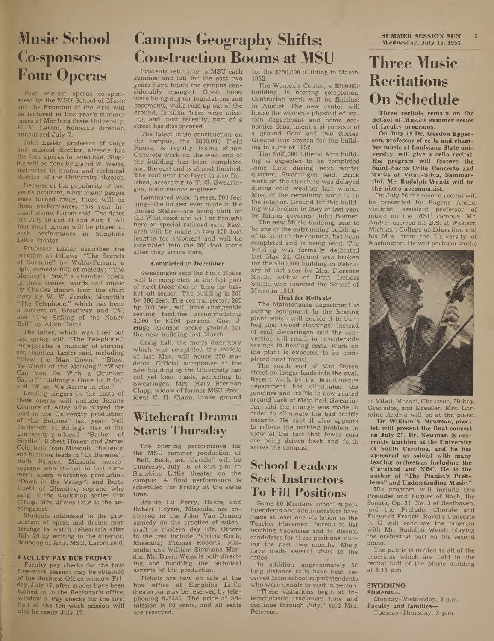# **Music School Co-sponsors Four Operas**

Four one-act operas co-sponsored by the MSU School of Music and the Roundup of the Arts will be featured in this year's summer opera at Montana State University, H. V. Larom, Roundup director, announced July 7.

John Lester, professor of voice and musical director, already has the four operas in rehearsal. Staging will be done by David W. Weiss, instructor in drama and technical director of the University theater.

Because of the popularity of last year's program, when many people were turned away, there will be three performances this year instead of one, Larom said. The dates are July 30 and 31 and Aug. 6. All four short operas will be played at each performance in Simpkins Little theater.

Professor Lester described the program as follows: " The Secrets of Susanne" by Wolfe-Ferrari, a light comedy full of melody; "The Monkey's Paw," a chamber opera in three scenes, words and music by Charles Hamm from the short story by W. W. Jacobs; Menotti's "The Telephone," which has been a success on Broadway and TV; and "The Sailing of the Nancy Bell" by Allan Davis.

The latter, which was tried out last spring with "The Telephone," incorporates a number of stirring sea chanties, Lester said, including "Blow the Man Down," "Blow, Ye Winds of the Morning," "What Can You Do With a Drunken Sailor?" "Johnny's Gone to Hilo," and "When We Arrive in Rio."

Leading- singers in the casts of these operas will include Jeanne Couture of Arlee who played the lead in the University production of "La Boheme" last year. Neil Dahlstrom of Billings, star of the University-produced "Barber of Seville": Robert Hoyem and James Cole, both from Missoula, the tenor and baritone leads in "La Boheme"; Ruth Palmer, Missoula mezzosoprano who starred in last summer's opera workshop production "Down in the Valley"; and Berta Huebl of Glendive, soprano who sang in the workshop series this spring. Mrs. James Cole is the accompanist.

Students interested in the production of opera and drama may arrange to watch rehearsals after July 20 by writing to the director, Roundup of Arts, MSU, Larom said.

#### FACULTY PAY DUE FRIDAY

Faculty pay checks for the first five-week session may be obtained at the Business Office window Friday, July 17, after grades have been turned in to the Registrar's office, window 3. Pay checks for the first half of the ten-week session will also be ready July 17.

# Campus Geography Shifts; SUMMER SESSION SUN 3 *Wednesday, July 15, 1953* **Construction Booms at MSU**

Students returning to MSU each summer and fall for the past two years have found the campus considerably changed. Great holes were being dug for foundations and basements, walls rose up out of the ground, familiar trees were missing, and most recently, part of a street has disappeared.

The latest large construction on the campus, the \$800,000 Field House, is rapidly taking shape. Concrete work on the west end of the building has been completed and the east end is almost finished. The roof over the foyer is also finished, according to T. G. Swearingen, maintenance engineer.

Laminated wood tresses, 200 feet long—the longest ever made in the United States—are being built on the West coast and will be brought here on special railroad cars. Each arch will be made in two 100-foot lengths for shipment and will be assembled into the 200-foot spans after they arrive here.

#### Completed in December

Swearingen said the Field House will be completed in the last part of next December in time for basketball season. The building is 200 by 300 feet. The central sector, 200 by 160 feet, will have changeable seating facilities accommodating 3,000 to 6,000 persons. Gov. J. Hugo Aronson broke ground for the new building last March.

Craig hall, the men's dormitory which was completed the middle of last May, will house 250 students. Official acceptance of the new building by the University has not yet been made, according to Swearingen. Mrs. Mary Brennan Clapp, widow of former MSU President C. H. Clapp, broke ground

### **Witchcraft Drama Starts Thursday**

The opening performance for the MSU summer production of "Bell, Book, and Candle" will be Thursday, July 16, at 8:15 p.m. in Simpkins Little theater on the campus. A final performance is scheduled for Friday at the same time.

Bonnie Lu Perry, Havre, and Robert Hoyem, Missoula, are costarred in the John Van Druten comedy on the practice of witchcraft in modern day life. Others in the cast include Patricia Koob, Missoula; Thomas Roberts, Missoula; and William Simmons, Hardin. Mr. David Weiss is both directing and handling the technical aspects of the production.

Tickets are now on sale at the box office at Simpkins Little theater, or may be reserved by telephoning 9-2331. The price of admission is 80 cents, and all seats are reserved.

for the \$750,000 building in March, 1952.

The Women's Center, a \$500,000 building, is nearing completion. Contracted work will be finished in August. The new center will house the women's physical education department and home economics department and consists of a ground floor and two stories. Ground was broken tor the building in June of 1952.

The \$700,000 Liberal Arts building is expected to be completed some time during next winter quarter, Swearingen said. Brick work on the structure was delayed during cold weather last winter. Most of the remaining work is on the interior. Ground for this building was broken in May of last year by former governor John Bonner.

The new Music building, said to be one of the outstanding buildings of its kind in the country, has been completed and is being used. The building was formally dedicated last May 24. Ground was broken for the \$700,000 building in February of last year by Mrs. Florence Smith, widow of Dean DeLoss Smith, who founded the School of Music in 1913.

#### Heat for Hellgate

The Maintenance department is adding equipment to the heating plant which will enable it to burn hog fuel (wood slashings) instead of coal. Swearingen said the conversion will result in considerable savings in heating costs. Work on the plant is expected to be completed next month.

The south end of Van Buren street no longer leads into the oval. Recent work by the Maintenance department has eliminated the juncture and traffic is now routed around back of Main hall. Swearingen said the change was made in order to eliminate the bad traffic hazards. He said it also appears to relieve the parking problem in view of the fact that fewer cars are being driven back and forth across the campus.

### **School Leaders Seek Instructors To Fill Positions**

Some 80 Montana school superintendents and administrators have made at least one visitation to the Teacher Placement bureau to list teaching vacancies and to discuss candidates for these positions, during the past two months. Many have made several visits to the office.

In addition, approximately 50 long distance calls have been received from school superintendents who were unable to visit in person.

"These visitations begin at Interscholastic trackmeet time and continue through July," said Mrs. Peterson.

## **Three Music Recitations On Schedule**

Three recitals remain on the School of Music's summer series of faculty programs.

On July 19 Dr. Gordon Epperson, professor of cello and chamber music at Louisiana State university, will give a cello recital. His program will feature the Saint-Saens Cello Concerto and works of Vitali-Silva, Sammartini. Mr. Rudolph Wendt will be the piano accompanist.

On July 26 the second recital will be presented by Eugene Andre, violinist, assistant professor of music on the MSU campus. Mr. Andre received his B.S. at Western Michigan College of Education and his M.A. from the University of Washington. He will perform works



of Vitali, Mozart, Chausson, Hubay, Granados, and Kreisler. Mrs. Lorraine Andrie will be at the piano.

Dr. William S. Newman, pianist, will present the final concert on July 29. Dr. Newman is currently teaching at the University of South Carolina, and he has appeared as soloist with many leading orchestras including the Cleveland and NBC. He is the author of "The Pianist's Problems" and Understanding Music."

His program will include two Preludes and Fugues of Bach, the Sonata, Op. 31, No. 3 of Beethoven, and the Prelude, Chorale and Fugue of Franck. Ravel's Concerto in G will conclude the program with Mr. Rudolph Wendt playing the orchestral part on the second piano.

The public is invited to all of the programs which are held in the recital hall of the Music building at  $8:15$  p.m.

#### **SWIMMING**

Students— Monday-Wednesday, 3 p.m. Faculty and families—

Tuesday-Thursday, 3 p.m.